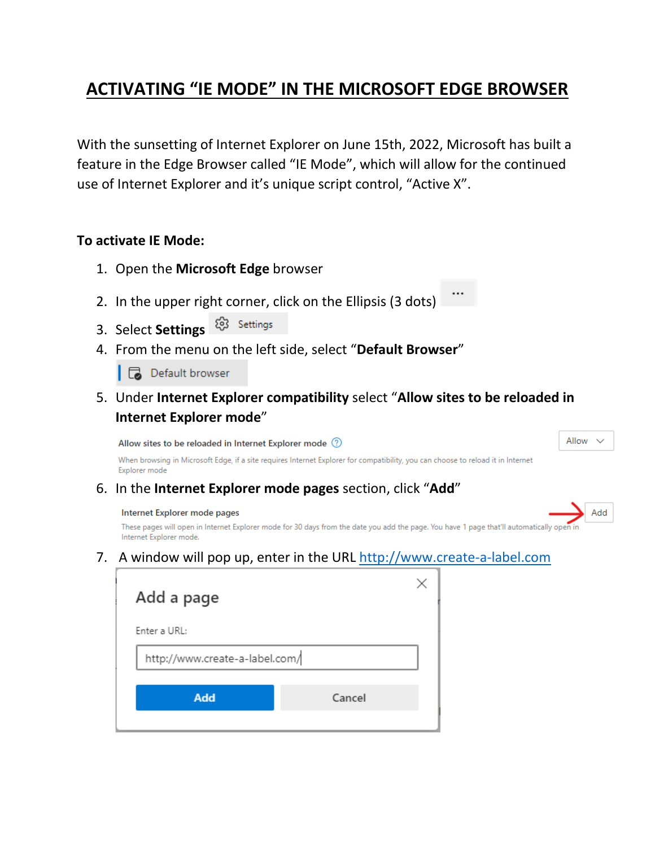## **ACTIVATING "IE MODE" IN THE MICROSOFT EDGE BROWSER**

With the sunsetting of Internet Explorer on June 15th, 2022, Microsoft has built a feature in the Edge Browser called "IE Mode", which will allow for the continued use of Internet Explorer and it's unique script control, "Active X".

## **To activate IE Mode:**

- 1. Open the **Microsoft Edge** browser
- 2. In the upper right corner, click on the Ellipsis (3 dots)
- 83 Settings 3. Select **Settings**
- 4. From the menu on the left side, select "**Default Browser**"

**B** Default browser

5. Under **Internet Explorer compatibility** select "**Allow sites to be reloaded in Internet Explorer mode**"

Allow sites to be reloaded in Internet Explorer mode (?)

Allow

Add

When browsing in Microsoft Edge, if a site requires Internet Explorer for compatibility, you can choose to reload it in Internet Explorer mode

6. In the **Internet Explorer mode pages** section, click "**Add**"

## Internet Explorer mode pages

These pages will open in Internet Explorer mode for 30 days from the date you add the page. You have 1 page that'll automatically op Internet Explorer mode.

7. A window will pop up, enter in the URL [http://www.create-a-label.com](http://www.create-a-label.com/)

| Add a page                     |        |  |  |  |
|--------------------------------|--------|--|--|--|
| Enter a URL:                   |        |  |  |  |
| http://www.create-a-label.com/ |        |  |  |  |
| Add                            | Cancel |  |  |  |
|                                |        |  |  |  |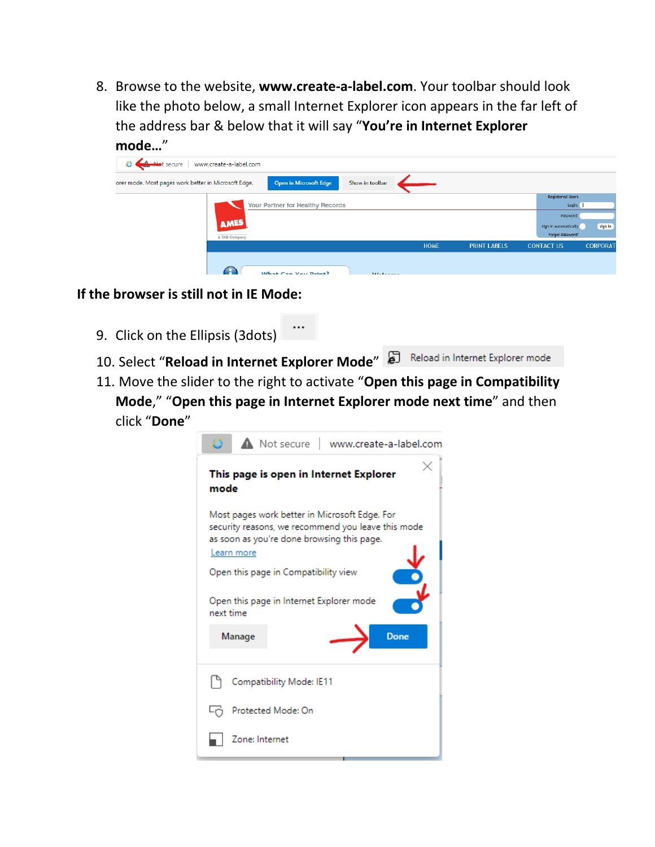8. Browse to the website, **www.create-a-label.com**. Your toolbar should look like the photo below, a small Internet Explorer icon appears in the far left of the address bar & below that it will say "**You're in Internet Explorer mode…**"

| Juut                                                 |                        |                               |                 |             |                     |                         |                 |
|------------------------------------------------------|------------------------|-------------------------------|-----------------|-------------|---------------------|-------------------------|-----------------|
| <b>A Not secure</b>                                  | www.create-a-label.com |                               |                 |             |                     |                         |                 |
| orer mode. Most pages work better in Microsoft Edge. |                        | <b>Open in Microsoft Edge</b> | Show in toolbar |             |                     |                         |                 |
|                                                      |                        |                               |                 |             |                     | <b>Registered Users</b> |                 |
| Your Partner for Healthy Records                     |                        |                               |                 |             |                     | Login:                  |                 |
|                                                      |                        |                               |                 |             |                     | Password:               |                 |
|                                                      | <b>AMES</b>            |                               |                 |             |                     | Sign in automatically   | sign in         |
|                                                      |                        |                               |                 |             |                     | Forgot Password?        |                 |
|                                                      | A TAB Company          |                               |                 | <b>HOME</b> | <b>PRINT LABELS</b> | <b>CONTACT US</b>       | <b>CORPORAT</b> |
|                                                      |                        |                               |                 |             |                     |                         |                 |
|                                                      |                        |                               |                 |             |                     |                         |                 |
|                                                      |                        | What Can Vou Drint?           | $ML = L = 1$    |             |                     |                         |                 |

## **If the browser is still not in IE Mode:**

- 9. Click on the Ellipsis (3dots)
- 10. Select "**Reload in Internet Explorer Mode**" **a** Reload in Internet Explorer mode
- 11. Move the slider to the right to activate "**Open this page in Compatibility Mode**," "**Open this page in Internet Explorer mode next time**" and then click "**Done**"